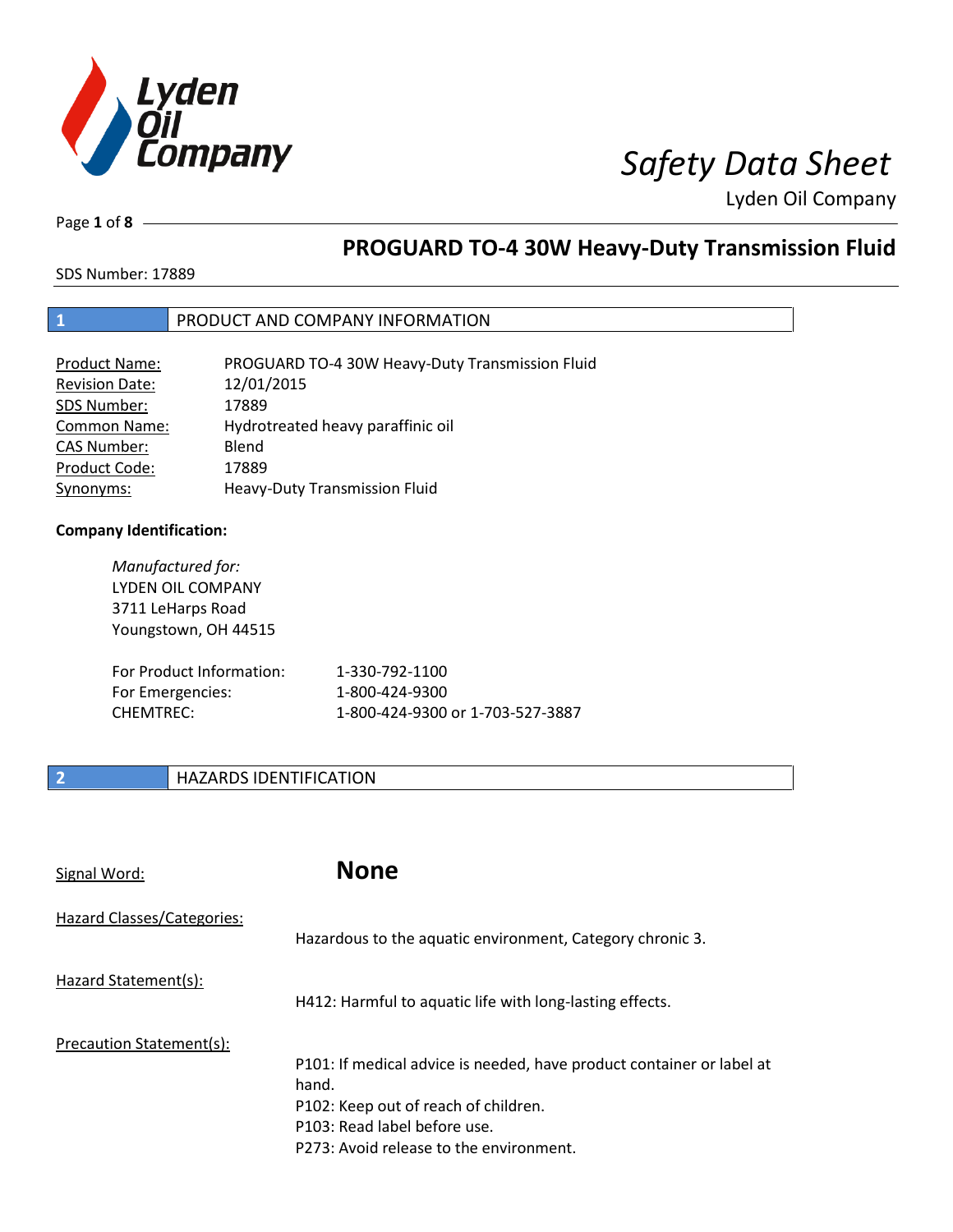

Page **1** of **8**

# **PROGUARD TO-4 30W Heavy-Duty Transmission Fluid**

SDS Number: 17889

## **1** PRODUCT AND COMPANY INFORMATION

| Product Name:         | PROGUARD TO-4 30W Heavy-Duty Transmission Fluid |
|-----------------------|-------------------------------------------------|
| <b>Revision Date:</b> | 12/01/2015                                      |
| SDS Number:           | 17889                                           |
| <b>Common Name:</b>   | Hydrotreated heavy paraffinic oil               |
| <b>CAS Number:</b>    | Blend                                           |
| Product Code:         | 17889                                           |
| Synonyms:             | Heavy-Duty Transmission Fluid                   |

### **Company Identification:**

| Manufactured for:<br>LYDEN OIL COMPANY<br>3711 LeHarps Road<br>Youngstown, OH 44515 |                                  |
|-------------------------------------------------------------------------------------|----------------------------------|
| For Product Information:                                                            | 1-330-792-1100                   |
| For Emergencies:                                                                    | 1-800-424-9300                   |
| CHEMTREC:                                                                           | 1-800-424-9300 or 1-703-527-3887 |

## **2 HAZARDS IDENTIFICATION**

| Signal Word:               | <b>None</b>                                                                                                                                                                                       |
|----------------------------|---------------------------------------------------------------------------------------------------------------------------------------------------------------------------------------------------|
| Hazard Classes/Categories: | Hazardous to the aquatic environment, Category chronic 3.                                                                                                                                         |
| Hazard Statement(s):       | H412: Harmful to aquatic life with long-lasting effects.                                                                                                                                          |
| Precaution Statement(s):   | P101: If medical advice is needed, have product container or label at<br>hand.<br>P102: Keep out of reach of children.<br>P103: Read label before use.<br>P273: Avoid release to the environment. |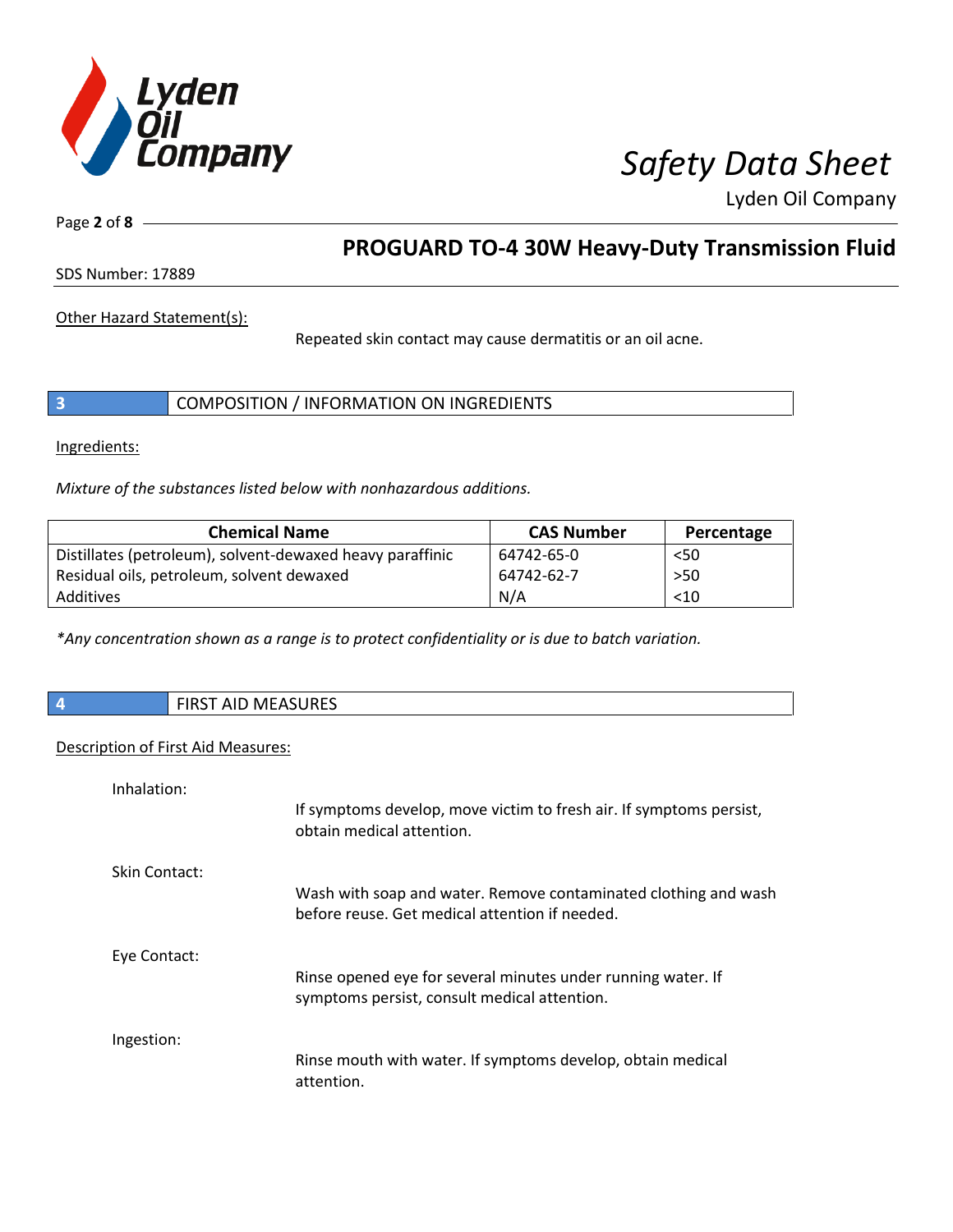

Page **2** of **8**

# **PROGUARD TO-4 30W Heavy-Duty Transmission Fluid**

SDS Number: 17889

Other Hazard Statement(s):

Repeated skin contact may cause dermatitis or an oil acne.

|  | COMPOSITION / INFORMATION ON INGREDIENTS |
|--|------------------------------------------|
|--|------------------------------------------|

Ingredients:

*Mixture of the substances listed below with nonhazardous additions.*

| <b>Chemical Name</b>                                      | <b>CAS Number</b> | Percentage |
|-----------------------------------------------------------|-------------------|------------|
| Distillates (petroleum), solvent-dewaxed heavy paraffinic | 64742-65-0        | $50$       |
| Residual oils, petroleum, solvent dewaxed                 | 64742-62-7        | $>50$      |
| Additives                                                 | N/A               | < 10       |

*\*Any concentration shown as a range is to protect confidentiality or is due to batch variation.*

| <b>FIRST AID MEASURES</b> |
|---------------------------|
|                           |

### Description of First Aid Measures:

| Inhalation:   |                                                                                                                   |
|---------------|-------------------------------------------------------------------------------------------------------------------|
|               | If symptoms develop, move victim to fresh air. If symptoms persist,<br>obtain medical attention.                  |
| Skin Contact: |                                                                                                                   |
|               | Wash with soap and water. Remove contaminated clothing and wash<br>before reuse. Get medical attention if needed. |
| Eye Contact:  |                                                                                                                   |
|               | Rinse opened eye for several minutes under running water. If<br>symptoms persist, consult medical attention.      |
| Ingestion:    |                                                                                                                   |
|               | Rinse mouth with water. If symptoms develop, obtain medical<br>attention.                                         |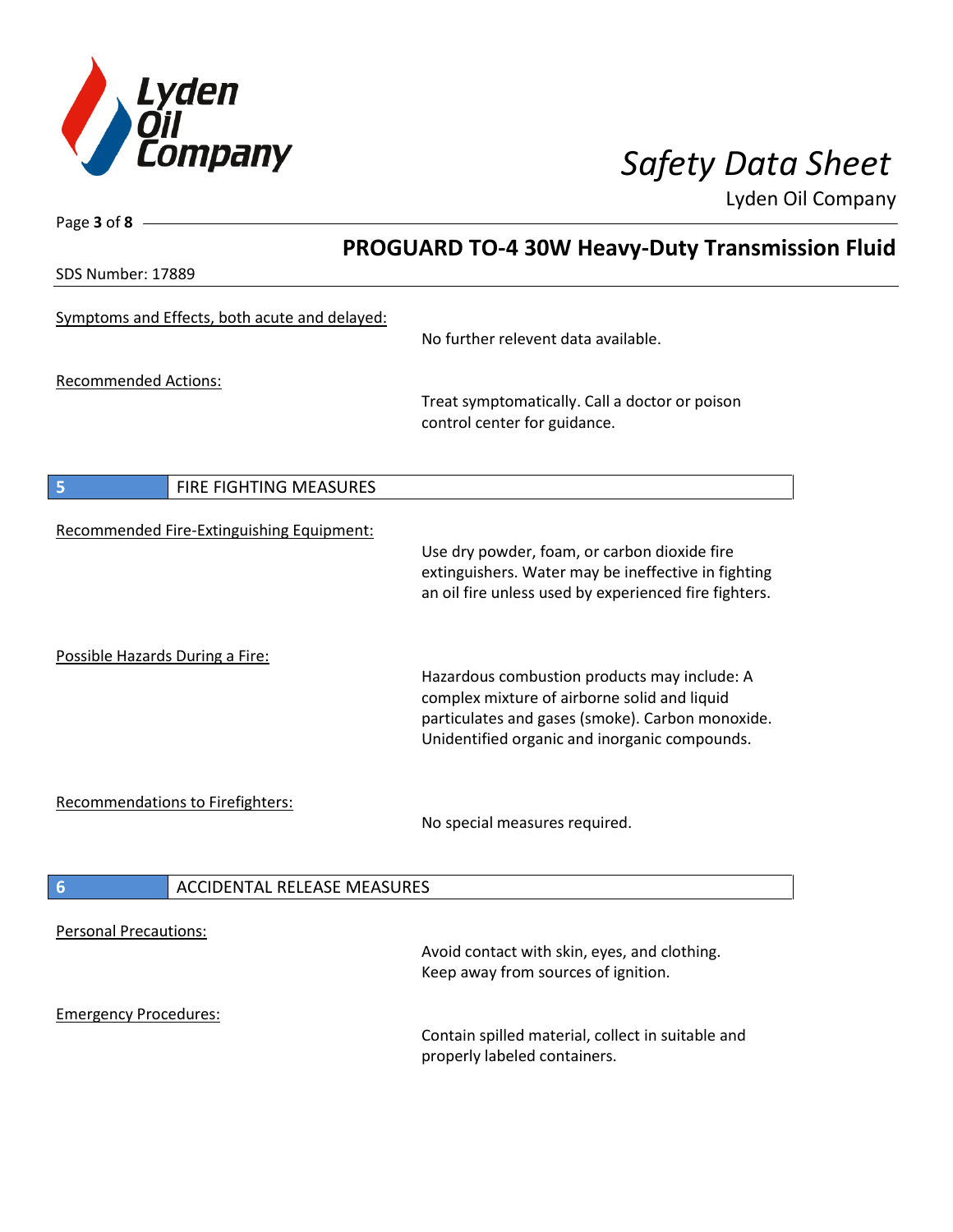

Page **3** of **8**

Lyden Oil Company

|                                                       | <b>PROGUARD TO-4 30W Heavy-Duty Transmission Fluid</b>                                                                                                                                            |  |
|-------------------------------------------------------|---------------------------------------------------------------------------------------------------------------------------------------------------------------------------------------------------|--|
| SDS Number: 17889                                     |                                                                                                                                                                                                   |  |
| Symptoms and Effects, both acute and delayed:         | No further relevent data available.                                                                                                                                                               |  |
| <b>Recommended Actions:</b>                           | Treat symptomatically. Call a doctor or poison<br>control center for guidance.                                                                                                                    |  |
| 5<br>FIRE FIGHTING MEASURES                           |                                                                                                                                                                                                   |  |
| Recommended Fire-Extinguishing Equipment:             | Use dry powder, foam, or carbon dioxide fire<br>extinguishers. Water may be ineffective in fighting<br>an oil fire unless used by experienced fire fighters.                                      |  |
| Possible Hazards During a Fire:                       | Hazardous combustion products may include: A<br>complex mixture of airborne solid and liquid<br>particulates and gases (smoke). Carbon monoxide.<br>Unidentified organic and inorganic compounds. |  |
| <b>Recommendations to Firefighters:</b>               | No special measures required.                                                                                                                                                                     |  |
| $6\phantom{1}6$<br><b>ACCIDENTAL RELEASE MEASURES</b> |                                                                                                                                                                                                   |  |
| <b>Personal Precautions:</b>                          | Avoid contact with skin, eyes, and clothing.<br>Keep away from sources of ignition.                                                                                                               |  |
| <b>Emergency Procedures:</b>                          | Contain spilled material, collect in suitable and<br>properly labeled containers.                                                                                                                 |  |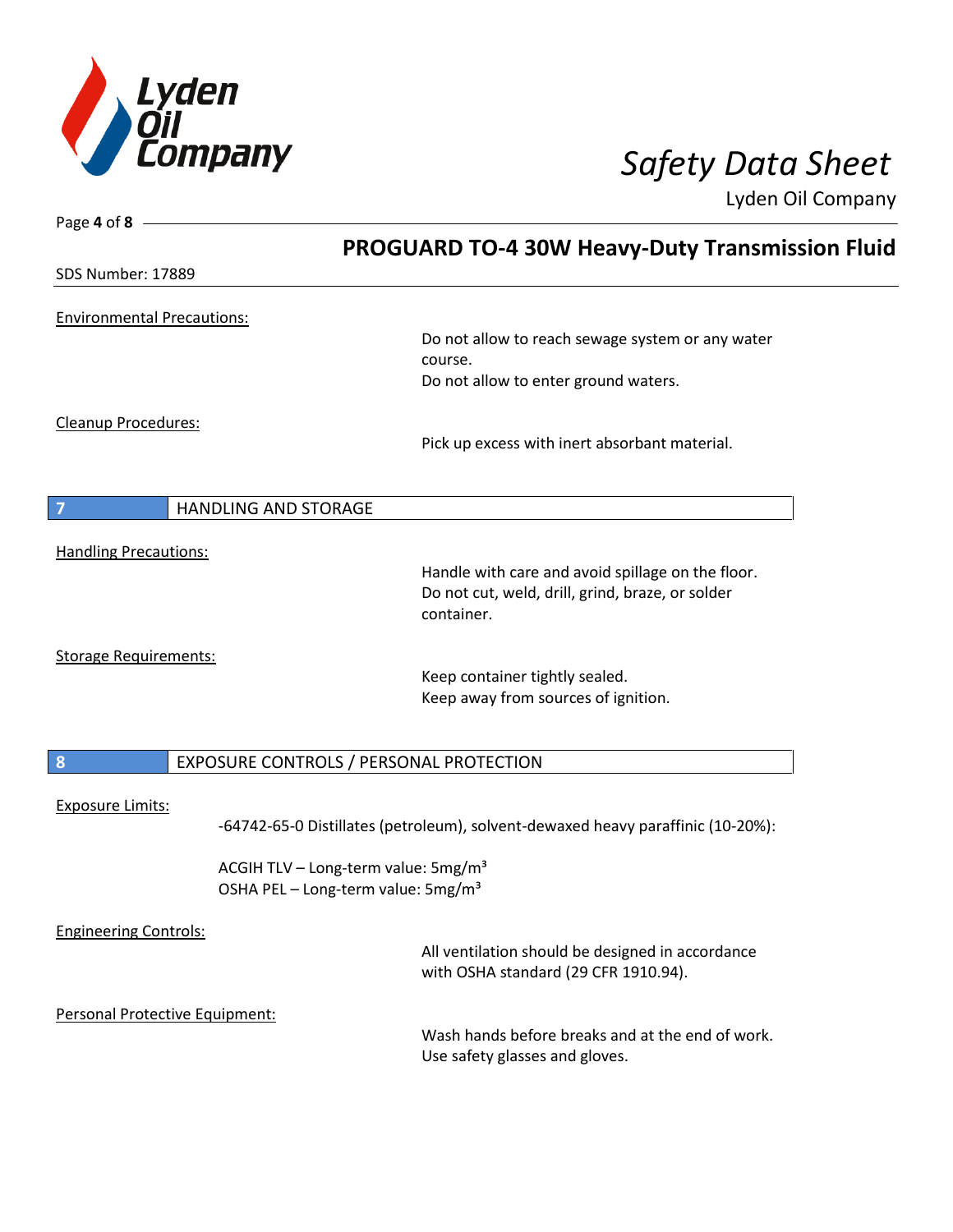

| Page 4 of 8                       |                                                                                                   |                                                                                          |  |
|-----------------------------------|---------------------------------------------------------------------------------------------------|------------------------------------------------------------------------------------------|--|
|                                   |                                                                                                   | <b>PROGUARD TO-4 30W Heavy-Duty Transmission Fluid</b>                                   |  |
| <b>SDS Number: 17889</b>          |                                                                                                   |                                                                                          |  |
| <b>Environmental Precautions:</b> |                                                                                                   |                                                                                          |  |
|                                   |                                                                                                   | Do not allow to reach sewage system or any water                                         |  |
|                                   |                                                                                                   | course.                                                                                  |  |
|                                   |                                                                                                   | Do not allow to enter ground waters.                                                     |  |
| <b>Cleanup Procedures:</b>        |                                                                                                   |                                                                                          |  |
|                                   |                                                                                                   | Pick up excess with inert absorbant material.                                            |  |
|                                   |                                                                                                   |                                                                                          |  |
| 7                                 | <b>HANDLING AND STORAGE</b>                                                                       |                                                                                          |  |
| <b>Handling Precautions:</b>      |                                                                                                   |                                                                                          |  |
|                                   |                                                                                                   | Handle with care and avoid spillage on the floor.                                        |  |
|                                   |                                                                                                   | Do not cut, weld, drill, grind, braze, or solder<br>container.                           |  |
| <b>Storage Requirements:</b>      |                                                                                                   |                                                                                          |  |
|                                   |                                                                                                   | Keep container tightly sealed.                                                           |  |
|                                   |                                                                                                   | Keep away from sources of ignition.                                                      |  |
| $\boldsymbol{8}$                  | EXPOSURE CONTROLS / PERSONAL PROTECTION                                                           |                                                                                          |  |
|                                   |                                                                                                   |                                                                                          |  |
| <b>Exposure Limits:</b>           |                                                                                                   | -64742-65-0 Distillates (petroleum), solvent-dewaxed heavy paraffinic (10-20%):          |  |
|                                   | ACGIH TLV - Long-term value: 5mg/m <sup>3</sup><br>OSHA PEL - Long-term value: 5mg/m <sup>3</sup> |                                                                                          |  |
| <b>Engineering Controls:</b>      |                                                                                                   |                                                                                          |  |
|                                   |                                                                                                   | All ventilation should be designed in accordance<br>with OSHA standard (29 CFR 1910.94). |  |
| Personal Protective Equipment:    |                                                                                                   |                                                                                          |  |
|                                   |                                                                                                   | Wash hands before breaks and at the end of work.<br>Use safety glasses and gloves.       |  |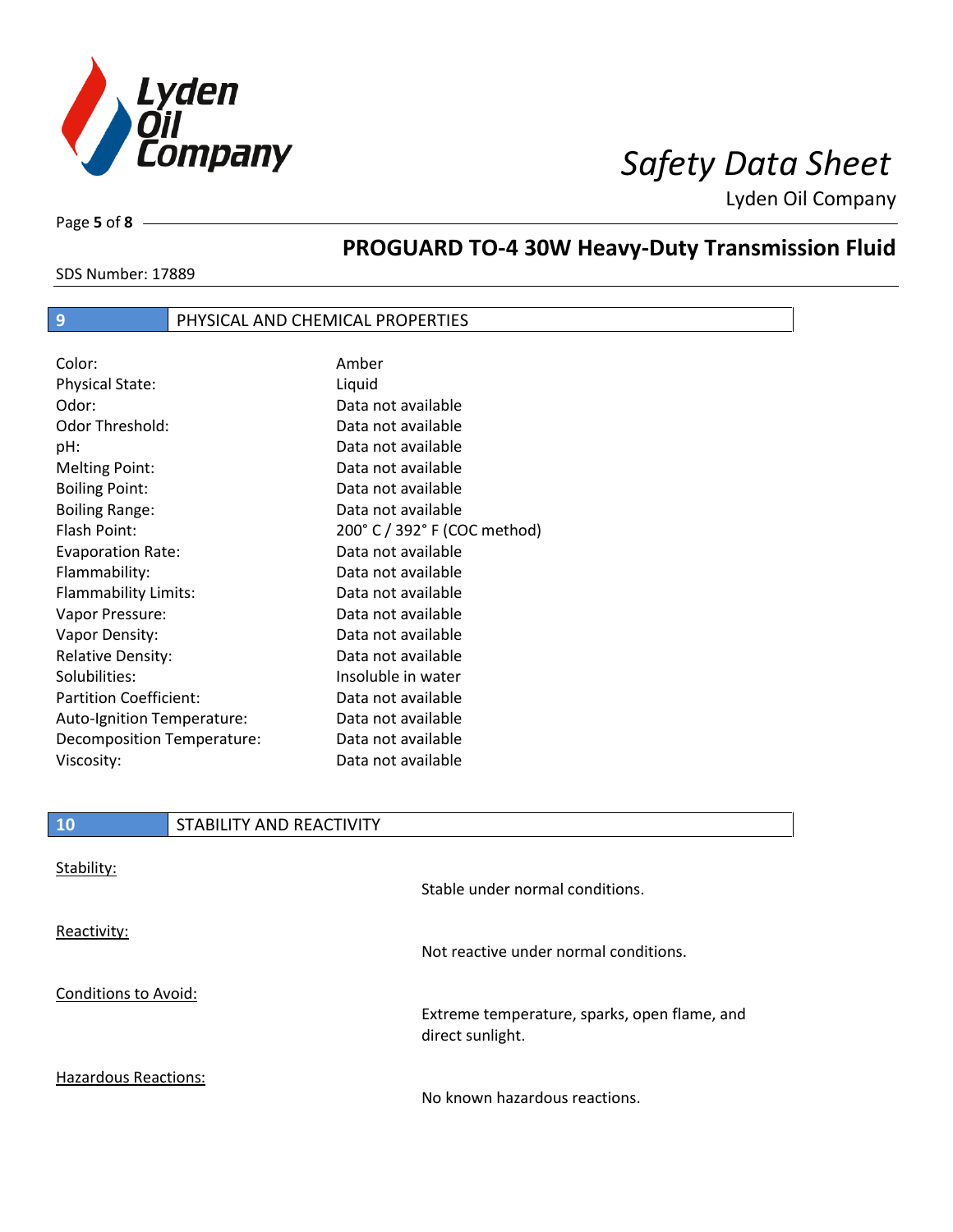

Page **5** of **8**

# **PROGUARD TO-4 30W Heavy-Duty Transmission Fluid**

SDS Number: 17889

## **9** PHYSICAL AND CHEMICAL PROPERTIES

| Color:                        | Amber                        |
|-------------------------------|------------------------------|
| <b>Physical State:</b>        | Liquid                       |
| Odor:                         | Data not available           |
| Odor Threshold:               | Data not available           |
| pH:                           | Data not available           |
| <b>Melting Point:</b>         | Data not available           |
| <b>Boiling Point:</b>         | Data not available           |
| <b>Boiling Range:</b>         | Data not available           |
| Flash Point:                  | 200° C / 392° F (COC method) |
| <b>Evaporation Rate:</b>      | Data not available           |
| Flammability:                 | Data not available           |
| Flammability Limits:          | Data not available           |
| Vapor Pressure:               | Data not available           |
| Vapor Density:                | Data not available           |
| <b>Relative Density:</b>      | Data not available           |
| Solubilities:                 | Insoluble in water           |
| <b>Partition Coefficient:</b> | Data not available           |
| Auto-Ignition Temperature:    | Data not available           |
| Decomposition Temperature:    | Data not available           |
| Viscosity:                    | Data not available           |

| <b>10</b>                   | STABILITY AND REACTIVITY |                                                                  |
|-----------------------------|--------------------------|------------------------------------------------------------------|
| Stability:                  |                          | Stable under normal conditions.                                  |
| Reactivity:                 |                          | Not reactive under normal conditions.                            |
| <b>Conditions to Avoid:</b> |                          | Extreme temperature, sparks, open flame, and<br>direct sunlight. |

Hazardous Reactions:

 $\overline{\phantom{a}}$ 

No known hazardous reactions.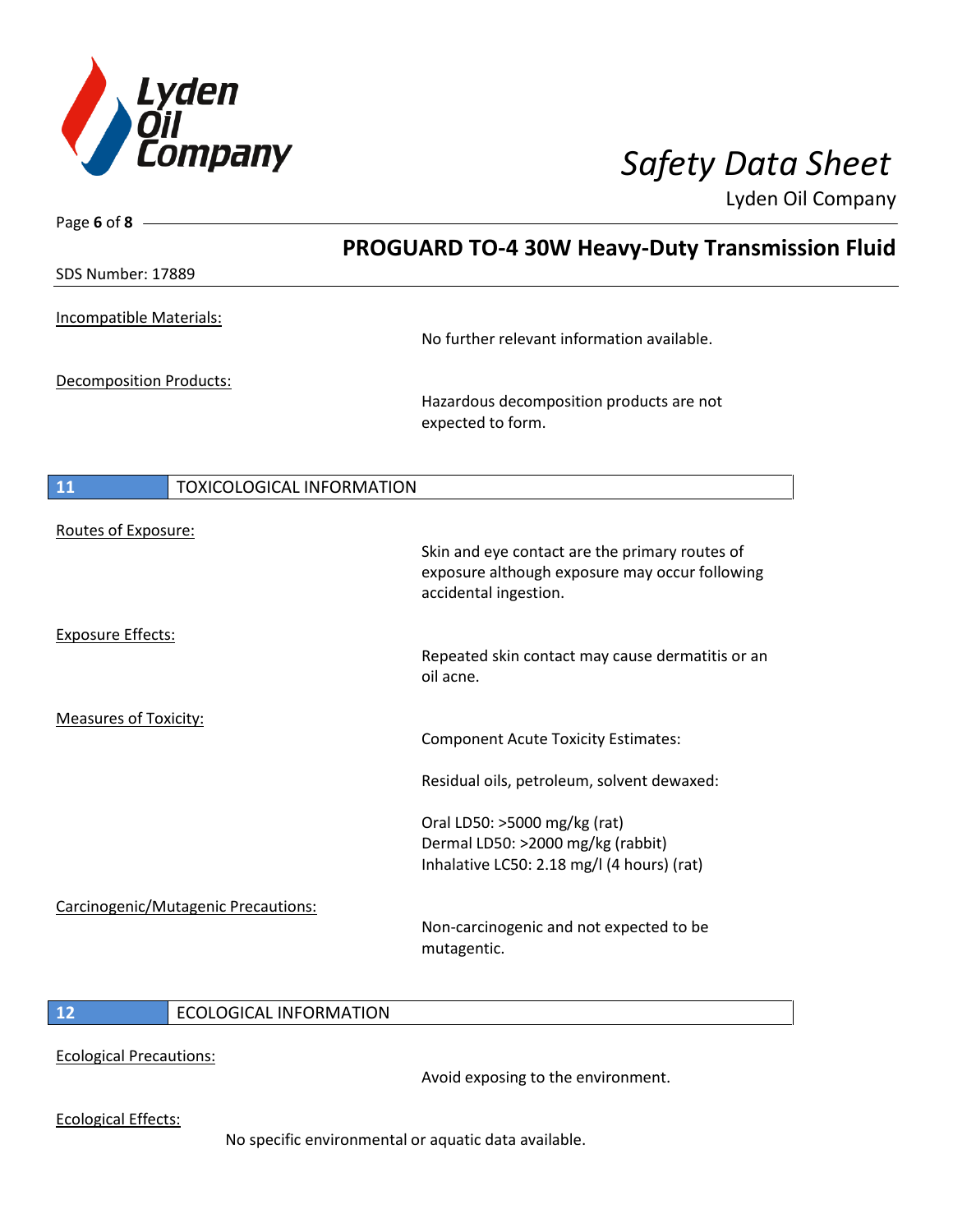

Page **6** of **8**

Lyden Oil Company

| No further relevant information available.                                                                                |                                                                                                      |
|---------------------------------------------------------------------------------------------------------------------------|------------------------------------------------------------------------------------------------------|
| Hazardous decomposition products are not<br>expected to form.                                                             |                                                                                                      |
| <b>TOXICOLOGICAL INFORMATION</b>                                                                                          |                                                                                                      |
| Skin and eye contact are the primary routes of<br>exposure although exposure may occur following<br>accidental ingestion. |                                                                                                      |
| Repeated skin contact may cause dermatitis or an<br>oil acne.                                                             |                                                                                                      |
| <b>Component Acute Toxicity Estimates:</b>                                                                                |                                                                                                      |
| Oral LD50: >5000 mg/kg (rat)<br>Dermal LD50: >2000 mg/kg (rabbit)<br>Inhalative LC50: 2.18 mg/l (4 hours) (rat)           |                                                                                                      |
| Non-carcinogenic and not expected to be<br>mutagentic.                                                                    |                                                                                                      |
|                                                                                                                           | <b>PROGUARD TO-4 30W Heavy-Duty Transmission Fluid</b><br>Residual oils, petroleum, solvent dewaxed: |

### **12** ECOLOGICAL INFORMATION

Ecological Precautions:

Avoid exposing to the environment.

Ecological Effects:

No specific environmental or aquatic data available.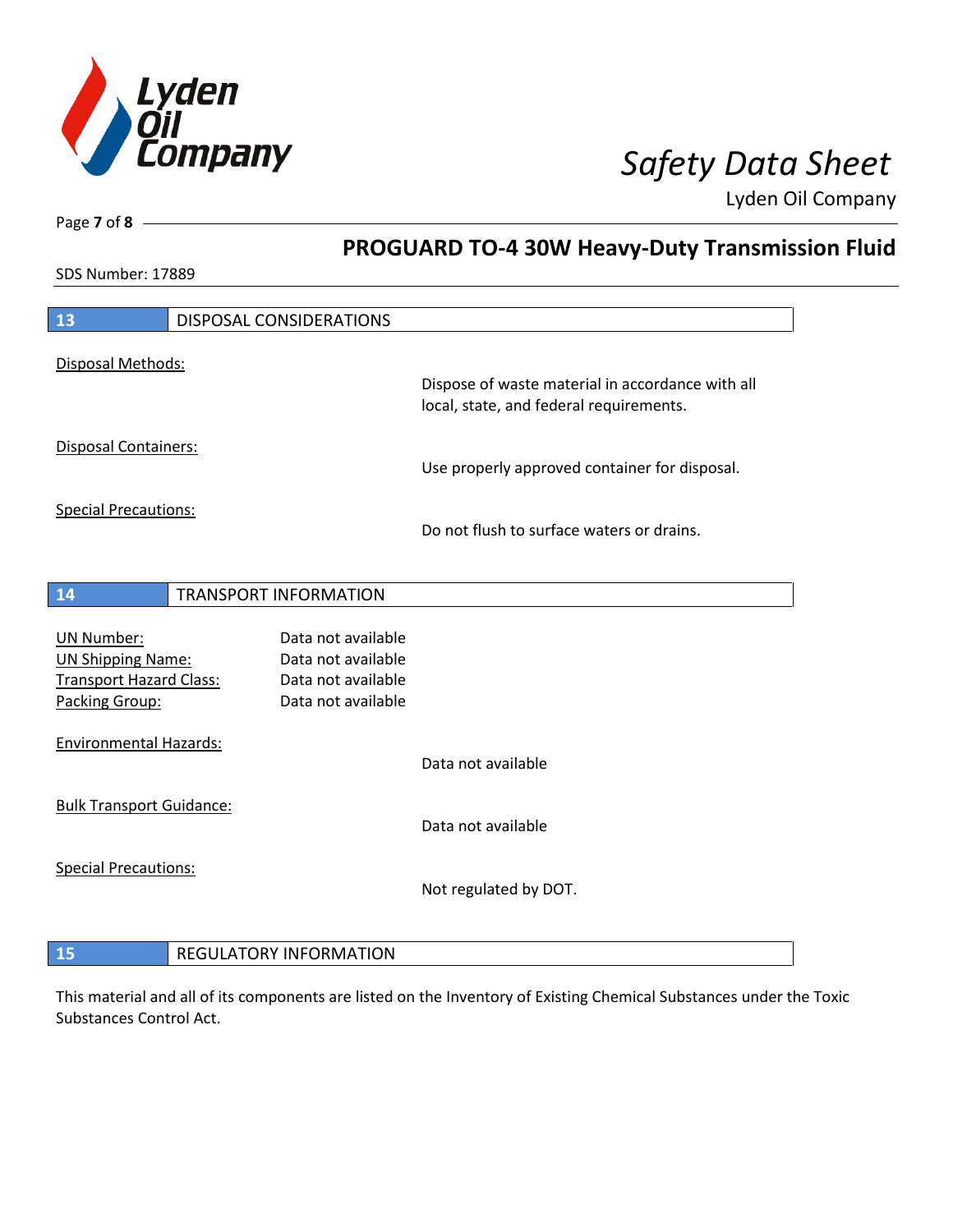

**PROGUARD TO-4 30W Heavy-Duty Transmission Fluid**

Lyden Oil Company

SDS Number: 17889

Page **7** of **8**

| 13                              | DISPOSAL CONSIDERATIONS       |                                                  |
|---------------------------------|-------------------------------|--------------------------------------------------|
| Disposal Methods:               |                               | Dispose of waste material in accordance with all |
|                                 |                               | local, state, and federal requirements.          |
| <b>Disposal Containers:</b>     |                               |                                                  |
|                                 |                               | Use properly approved container for disposal.    |
| <b>Special Precautions:</b>     |                               |                                                  |
|                                 |                               | Do not flush to surface waters or drains.        |
|                                 |                               |                                                  |
| 14                              | <b>TRANSPORT INFORMATION</b>  |                                                  |
|                                 |                               |                                                  |
| <b>UN Number:</b>               | Data not available            |                                                  |
| <b>UN Shipping Name:</b>        | Data not available            |                                                  |
| <b>Transport Hazard Class:</b>  | Data not available            |                                                  |
| Packing Group:                  | Data not available            |                                                  |
| <b>Environmental Hazards:</b>   |                               |                                                  |
|                                 |                               | Data not available                               |
| <b>Bulk Transport Guidance:</b> |                               |                                                  |
|                                 |                               | Data not available                               |
| <b>Special Precautions:</b>     |                               |                                                  |
|                                 |                               | Not regulated by DOT.                            |
|                                 |                               |                                                  |
| 15                              | <b>REGULATORY INFORMATION</b> |                                                  |

This material and all of its components are listed on the Inventory of Existing Chemical Substances under the Toxic Substances Control Act.